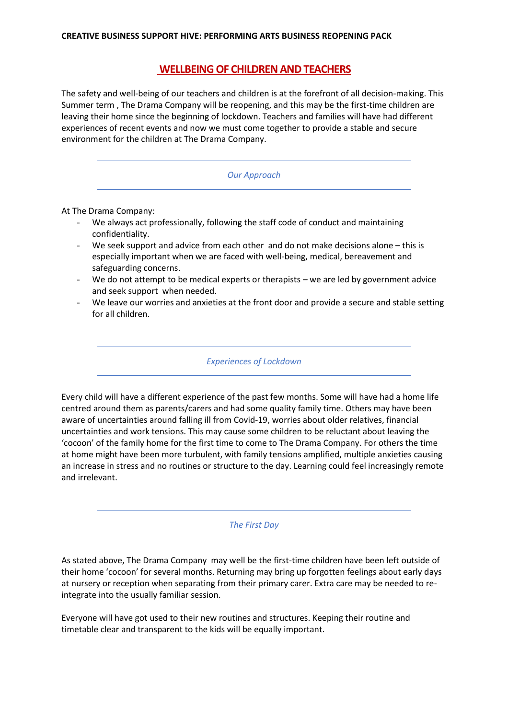# **WELLBEING OF CHILDREN AND TEACHERS**

The safety and well-being of our teachers and children is at the forefront of all decision-making. This Summer term , The Drama Company will be reopening, and this may be the first-time children are leaving their home since the beginning of lockdown. Teachers and families will have had different experiences of recent events and now we must come together to provide a stable and secure environment for the children at The Drama Company.

#### *Our Approach*

At The Drama Company:

- We always act professionally, following the staff code of conduct and maintaining confidentiality.
- We seek support and advice from each other and do not make decisions alone this is especially important when we are faced with well-being, medical, bereavement and safeguarding concerns.
- We do not attempt to be medical experts or therapists we are led by government advice and seek support when needed.
- We leave our worries and anxieties at the front door and provide a secure and stable setting for all children.

*Experiences of Lockdown*

Every child will have a different experience of the past few months. Some will have had a home life centred around them as parents/carers and had some quality family time. Others may have been aware of uncertainties around falling ill from Covid-19, worries about older relatives, financial uncertainties and work tensions. This may cause some children to be reluctant about leaving the 'cocoon' of the family home for the first time to come to The Drama Company. For others the time at home might have been more turbulent, with family tensions amplified, multiple anxieties causing an increase in stress and no routines or structure to the day. Learning could feel increasingly remote and irrelevant.

*The First Day*

As stated above, The Drama Company may well be the first-time children have been left outside of their home 'cocoon' for several months. Returning may bring up forgotten feelings about early days at nursery or reception when separating from their primary carer. Extra care may be needed to reintegrate into the usually familiar session.

Everyone will have got used to their new routines and structures. Keeping their routine and timetable clear and transparent to the kids will be equally important.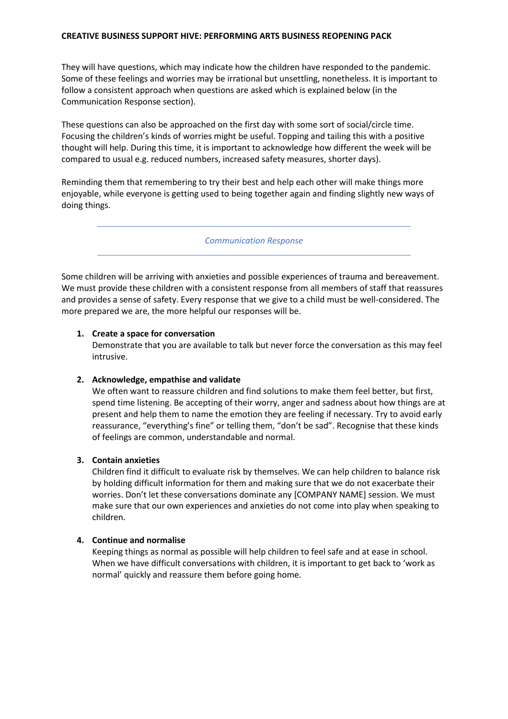#### **CREATIVE BUSINESS SUPPORT HIVE: PERFORMING ARTS BUSINESS REOPENING PACK**

They will have questions, which may indicate how the children have responded to the pandemic. Some of these feelings and worries may be irrational but unsettling, nonetheless. It is important to follow a consistent approach when questions are asked which is explained below (in the Communication Response section).

These questions can also be approached on the first day with some sort of social/circle time. Focusing the children's kinds of worries might be useful. Topping and tailing this with a positive thought will help. During this time, it is important to acknowledge how different the week will be compared to usual e.g. reduced numbers, increased safety measures, shorter days).

Reminding them that remembering to try their best and help each other will make things more enjoyable, while everyone is getting used to being together again and finding slightly new ways of doing things.

*Communication Response*

Some children will be arriving with anxieties and possible experiences of trauma and bereavement. We must provide these children with a consistent response from all members of staff that reassures and provides a sense of safety. Every response that we give to a child must be well-considered. The more prepared we are, the more helpful our responses will be.

## **1. Create a space for conversation**

Demonstrate that you are available to talk but never force the conversation as this may feel intrusive.

## **2. Acknowledge, empathise and validate**

We often want to reassure children and find solutions to make them feel better, but first, spend time listening. Be accepting of their worry, anger and sadness about how things are at present and help them to name the emotion they are feeling if necessary. Try to avoid early reassurance, "everything's fine" or telling them, "don't be sad". Recognise that these kinds of feelings are common, understandable and normal.

## **3. Contain anxieties**

Children find it difficult to evaluate risk by themselves. We can help children to balance risk by holding difficult information for them and making sure that we do not exacerbate their worries. Don't let these conversations dominate any [COMPANY NAME] session. We must make sure that our own experiences and anxieties do not come into play when speaking to children.

## **4. Continue and normalise**

Keeping things as normal as possible will help children to feel safe and at ease in school. When we have difficult conversations with children, it is important to get back to 'work as normal' quickly and reassure them before going home.